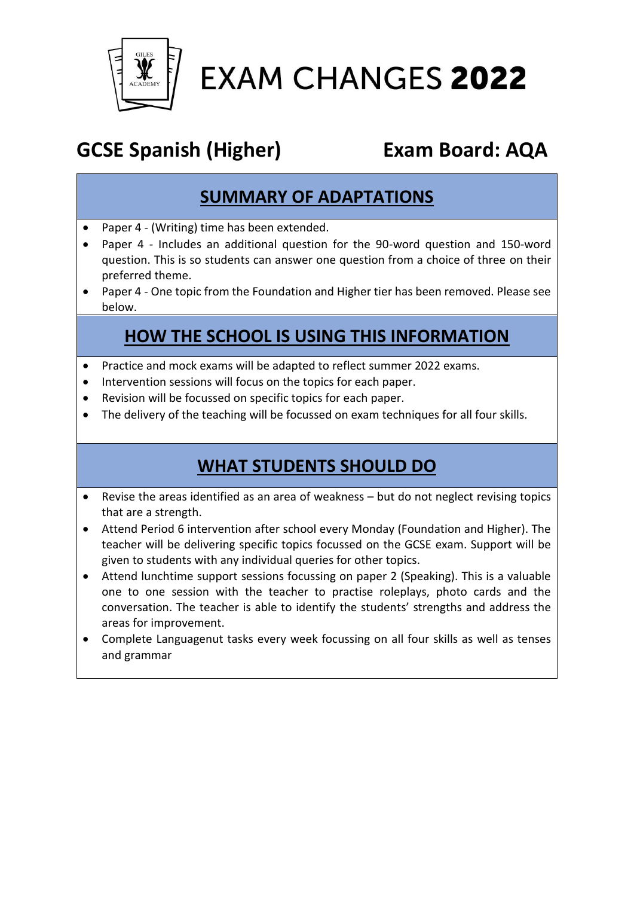

# **EXAM CHANGES 2022**

# **GCSE Spanish (Higher) Exam Board: AQA**

### **SUMMARY OF ADAPTATIONS**

- Paper 4 (Writing) time has been extended.
- Paper 4 Includes an additional question for the 90-word question and 150-word question. This is so students can answer one question from a choice of three on their preferred theme.
- Paper 4 One topic from the Foundation and Higher tier has been removed. Please see below.

#### **HOW THE SCHOOL IS USING THIS INFORMATION**

- Practice and mock exams will be adapted to reflect summer 2022 exams.
- Intervention sessions will focus on the topics for each paper.
- Revision will be focussed on specific topics for each paper.
- The delivery of the teaching will be focussed on exam techniques for all four skills.

#### **WHAT STUDENTS SHOULD DO**

- Revise the areas identified as an area of weakness but do not neglect revising topics that are a strength.
- Attend Period 6 intervention after school every Monday (Foundation and Higher). The teacher will be delivering specific topics focussed on the GCSE exam. Support will be given to students with any individual queries for other topics.
- Attend lunchtime support sessions focussing on paper 2 (Speaking). This is a valuable one to one session with the teacher to practise roleplays, photo cards and the conversation. The teacher is able to identify the students' strengths and address the areas for improvement.
- Complete Languagenut tasks every week focussing on all four skills as well as tenses and grammar